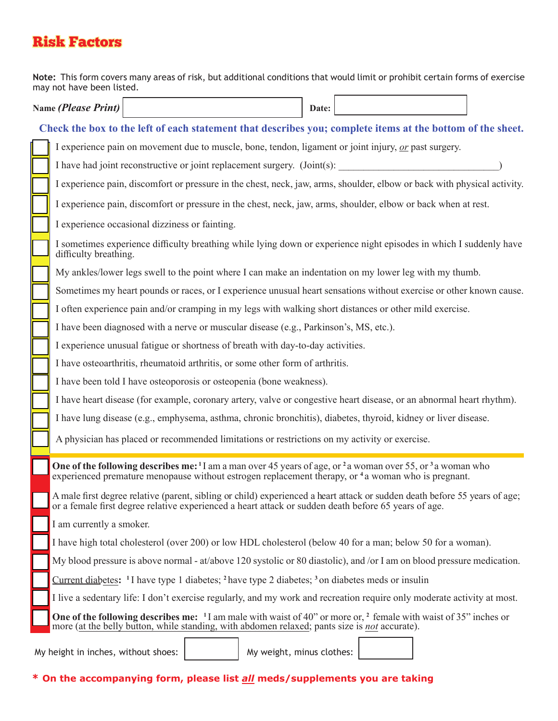## Risk Factors

**Note:** This form covers many areas of risk, but additional conditions that would limit or prohibit certain forms of exercise may not have been listed.  $\overline{\phantom{0}}$  $\Box$ ٦  $\Box$ 

| Name <i>(Please Print)</i>                                                                                 |                                                                                                                                                                                                                                                                 |                                                                                                                          |  |  | Date: |  |  |  |  |
|------------------------------------------------------------------------------------------------------------|-----------------------------------------------------------------------------------------------------------------------------------------------------------------------------------------------------------------------------------------------------------------|--------------------------------------------------------------------------------------------------------------------------|--|--|-------|--|--|--|--|
| Check the box to the left of each statement that describes you; complete items at the bottom of the sheet. |                                                                                                                                                                                                                                                                 |                                                                                                                          |  |  |       |  |  |  |  |
|                                                                                                            |                                                                                                                                                                                                                                                                 | I experience pain on movement due to muscle, bone, tendon, ligament or joint injury, or past surgery.                    |  |  |       |  |  |  |  |
|                                                                                                            | I have had joint reconstructive or joint replacement surgery. (Joint(s):                                                                                                                                                                                        |                                                                                                                          |  |  |       |  |  |  |  |
|                                                                                                            |                                                                                                                                                                                                                                                                 | I experience pain, discomfort or pressure in the chest, neck, jaw, arms, shoulder, elbow or back with physical activity. |  |  |       |  |  |  |  |
|                                                                                                            |                                                                                                                                                                                                                                                                 | I experience pain, discomfort or pressure in the chest, neck, jaw, arms, shoulder, elbow or back when at rest.           |  |  |       |  |  |  |  |
|                                                                                                            |                                                                                                                                                                                                                                                                 | I experience occasional dizziness or fainting.                                                                           |  |  |       |  |  |  |  |
|                                                                                                            | I sometimes experience difficulty breathing while lying down or experience night episodes in which I suddenly have<br>difficulty breathing.                                                                                                                     |                                                                                                                          |  |  |       |  |  |  |  |
|                                                                                                            | My ankles/lower legs swell to the point where I can make an indentation on my lower leg with my thumb.                                                                                                                                                          |                                                                                                                          |  |  |       |  |  |  |  |
|                                                                                                            | Sometimes my heart pounds or races, or I experience unusual heart sensations without exercise or other known cause.                                                                                                                                             |                                                                                                                          |  |  |       |  |  |  |  |
|                                                                                                            | I often experience pain and/or cramping in my legs with walking short distances or other mild exercise.                                                                                                                                                         |                                                                                                                          |  |  |       |  |  |  |  |
|                                                                                                            | I have been diagnosed with a nerve or muscular disease (e.g., Parkinson's, MS, etc.).                                                                                                                                                                           |                                                                                                                          |  |  |       |  |  |  |  |
|                                                                                                            | I experience unusual fatigue or shortness of breath with day-to-day activities.                                                                                                                                                                                 |                                                                                                                          |  |  |       |  |  |  |  |
|                                                                                                            | I have osteoarthritis, rheumatoid arthritis, or some other form of arthritis.                                                                                                                                                                                   |                                                                                                                          |  |  |       |  |  |  |  |
|                                                                                                            | I have been told I have osteoporosis or osteopenia (bone weakness).                                                                                                                                                                                             |                                                                                                                          |  |  |       |  |  |  |  |
|                                                                                                            | I have heart disease (for example, coronary artery, valve or congestive heart disease, or an abnormal heart rhythm).                                                                                                                                            |                                                                                                                          |  |  |       |  |  |  |  |
|                                                                                                            | I have lung disease (e.g., emphysema, asthma, chronic bronchitis), diabetes, thyroid, kidney or liver disease.                                                                                                                                                  |                                                                                                                          |  |  |       |  |  |  |  |
|                                                                                                            |                                                                                                                                                                                                                                                                 | A physician has placed or recommended limitations or restrictions on my activity or exercise.                            |  |  |       |  |  |  |  |
|                                                                                                            | One of the following describes me: <sup>1</sup> I am a man over 45 years of age, or <sup>2</sup> a woman over 55, or <sup>3</sup> a woman who<br>experienced premature menopause without estrogen replacement therapy, or <sup>4</sup> a woman who is pregnant. |                                                                                                                          |  |  |       |  |  |  |  |
|                                                                                                            | A male first degree relative (parent, sibling or child) experienced a heart attack or sudden death before 55 years of age;<br>or a female first degree relative experienced a heart attack or sudden death before 65 years of age.                              |                                                                                                                          |  |  |       |  |  |  |  |
|                                                                                                            | I am currently a smoker.                                                                                                                                                                                                                                        |                                                                                                                          |  |  |       |  |  |  |  |
|                                                                                                            | I have high total cholesterol (over 200) or low HDL cholesterol (below 40 for a man; below 50 for a woman).                                                                                                                                                     |                                                                                                                          |  |  |       |  |  |  |  |
|                                                                                                            | My blood pressure is above normal - at/above 120 systolic or 80 diastolic), and /or I am on blood pressure medication.                                                                                                                                          |                                                                                                                          |  |  |       |  |  |  |  |
|                                                                                                            | Current diabetes: <sup>1</sup> I have type 1 diabetes; <sup>2</sup> have type 2 diabetes; <sup>3</sup> on diabetes meds or insulin                                                                                                                              |                                                                                                                          |  |  |       |  |  |  |  |
|                                                                                                            | I live a sedentary life: I don't exercise regularly, and my work and recreation require only moderate activity at most.                                                                                                                                         |                                                                                                                          |  |  |       |  |  |  |  |
|                                                                                                            | <b>One of the following describes me:</b> <sup>1</sup> I am male with waist of 40" or more or, <sup>2</sup> female with waist of 35" inches or<br>more (at the belly button, while standing, with abdomen relaxed; pants size is not accurate).                 |                                                                                                                          |  |  |       |  |  |  |  |
| My weight, minus clothes:<br>My height in inches, without shoes:                                           |                                                                                                                                                                                                                                                                 |                                                                                                                          |  |  |       |  |  |  |  |

**\* On the accompanying form, please list** *all* **meds/supplements you are taking**